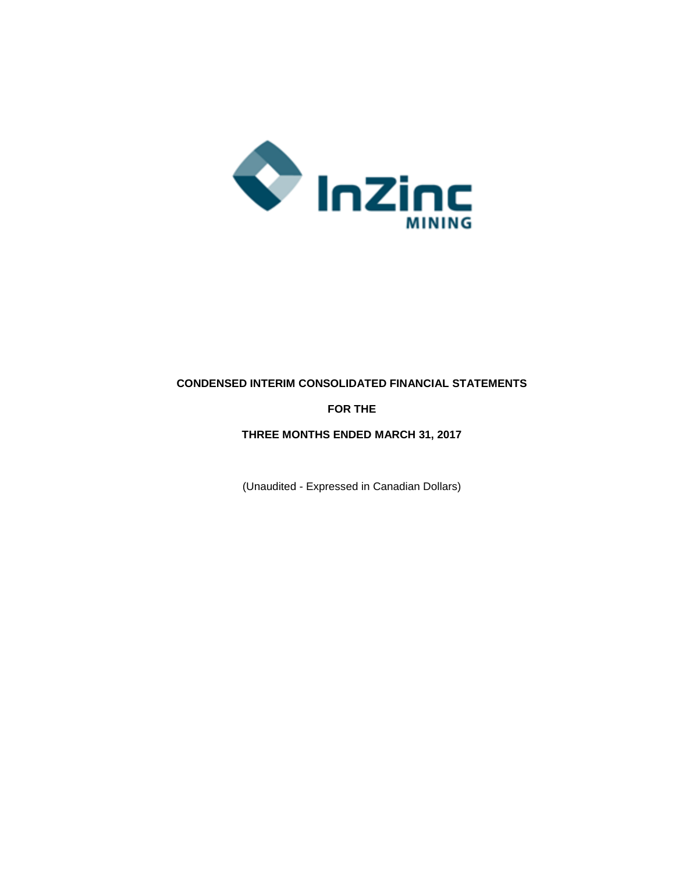

# **CONDENSED INTERIM CONSOLIDATED FINANCIAL STATEMENTS**

# **FOR THE**

# **THREE MONTHS ENDED MARCH 31, 2017**

(Unaudited - Expressed in Canadian Dollars)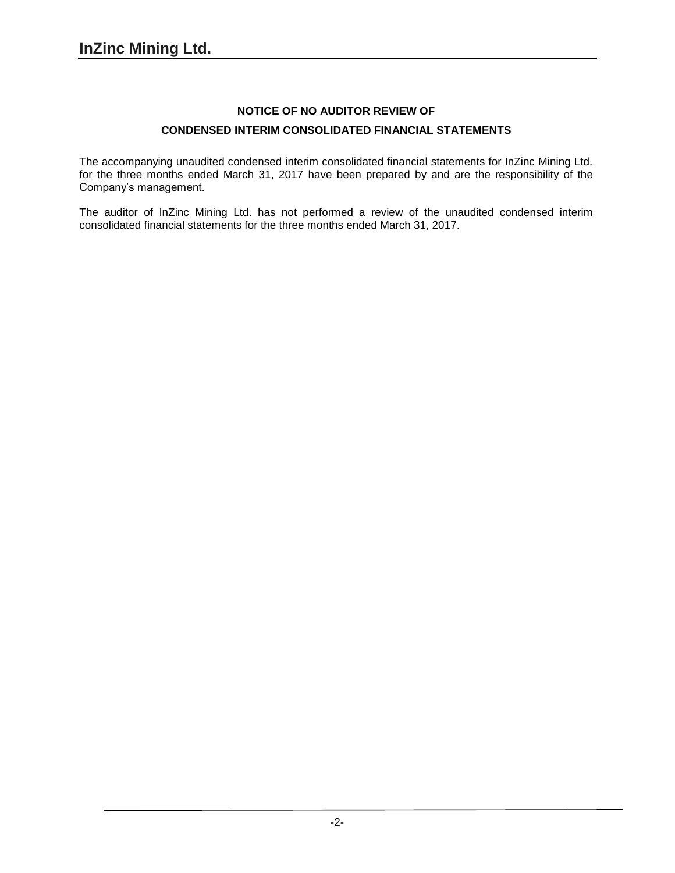# **NOTICE OF NO AUDITOR REVIEW OF CONDENSED INTERIM CONSOLIDATED FINANCIAL STATEMENTS**

The accompanying unaudited condensed interim consolidated financial statements for InZinc Mining Ltd. for the three months ended March 31, 2017 have been prepared by and are the responsibility of the Company's management.

The auditor of InZinc Mining Ltd. has not performed a review of the unaudited condensed interim consolidated financial statements for the three months ended March 31, 2017.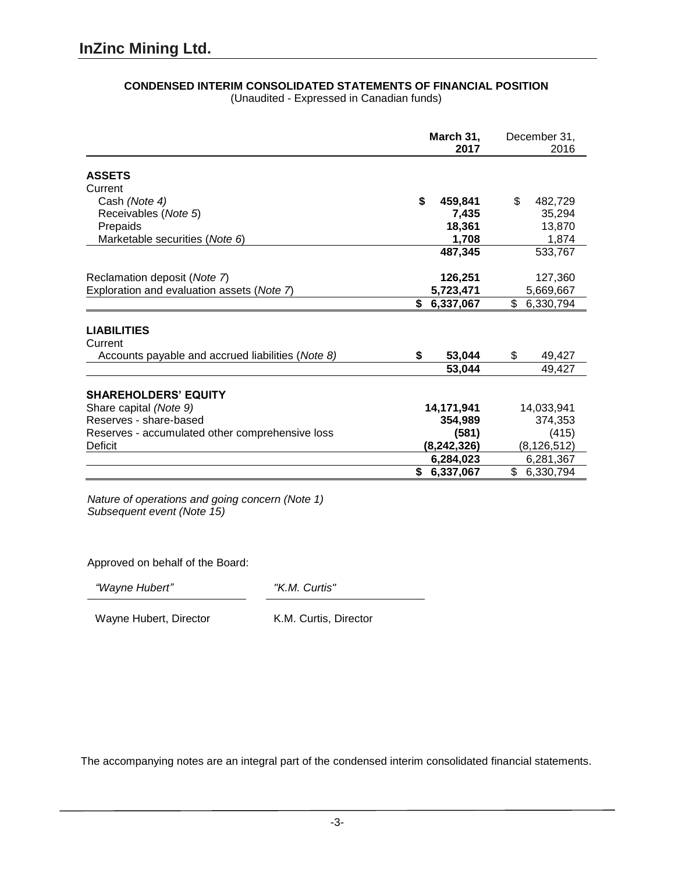|                                                   | March 31,<br>2017 | December 31,<br>2016 |
|---------------------------------------------------|-------------------|----------------------|
| <b>ASSETS</b>                                     |                   |                      |
| Current                                           |                   |                      |
| Cash (Note 4)                                     | \$<br>459,841     | \$<br>482,729        |
| Receivables (Note 5)                              | 7,435             | 35,294               |
| Prepaids                                          | 18,361            | 13,870               |
| Marketable securities (Note 6)                    | 1,708             | 1,874                |
|                                                   | 487,345           | 533,767              |
| Reclamation deposit (Note 7)                      | 126,251           | 127,360              |
| Exploration and evaluation assets (Note 7)        | 5,723,471         | 5,669,667            |
|                                                   | \$6,337,067       | \$6,330,794          |
| <b>LIABILITIES</b><br>Current                     |                   |                      |
| Accounts payable and accrued liabilities (Note 8) | \$<br>53,044      | \$<br>49,427         |
|                                                   | 53,044            | 49,427               |
| <b>SHAREHOLDERS' EQUITY</b>                       |                   |                      |
| Share capital (Note 9)                            | 14,171,941        | 14,033,941           |
| Reserves - share-based                            | 354,989           | 374,353              |
| Reserves - accumulated other comprehensive loss   | (581)             | (415)                |
| Deficit                                           | (8,242,326)       | (8, 126, 512)        |
|                                                   | 6,284,023         | 6,281,367            |
|                                                   | \$<br>6,337,067   | \$<br>6,330,794      |

# **CONDENSED INTERIM CONSOLIDATED STATEMENTS OF FINANCIAL POSITION**

(Unaudited - Expressed in Canadian funds)

*Nature of operations and going concern (Note 1) Subsequent event (Note 15)*

Approved on behalf of the Board:

*"Wayne Hubert" "K.M. Curtis"*

Wayne Hubert, Director K.M. Curtis, Director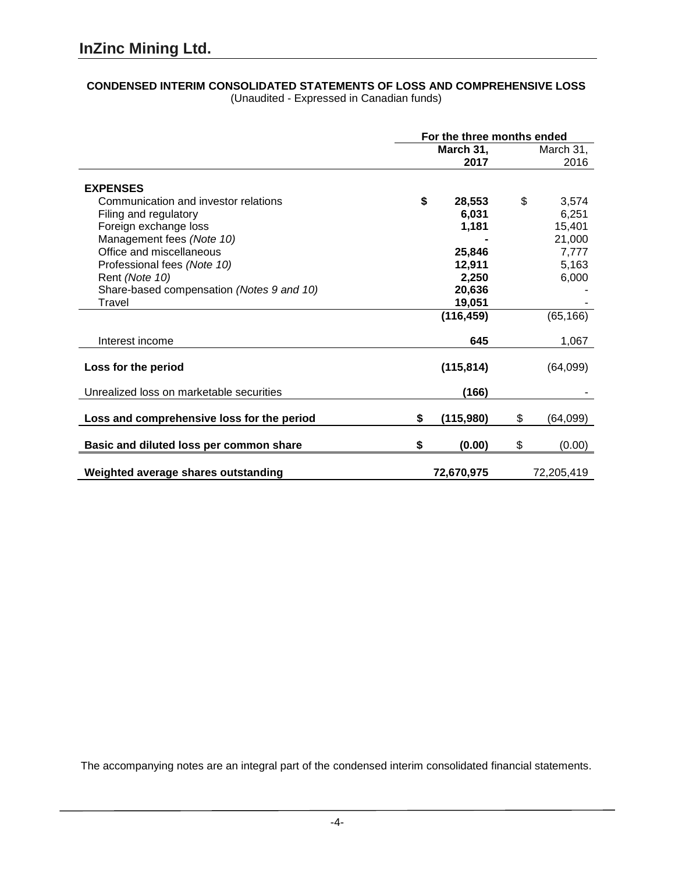#### **CONDENSED INTERIM CONSOLIDATED STATEMENTS OF LOSS AND COMPREHENSIVE LOSS** (Unaudited - Expressed in Canadian funds)

|                                            | For the three months ended |            |    |            |
|--------------------------------------------|----------------------------|------------|----|------------|
|                                            |                            | March 31,  |    | March 31,  |
|                                            |                            | 2017       |    | 2016       |
|                                            |                            |            |    |            |
| <b>EXPENSES</b>                            |                            |            |    |            |
| Communication and investor relations       | \$                         | 28,553     | \$ | 3,574      |
| Filing and regulatory                      |                            | 6,031      |    | 6,251      |
| Foreign exchange loss                      |                            | 1,181      |    | 15,401     |
| Management fees (Note 10)                  |                            |            |    | 21,000     |
| Office and miscellaneous                   |                            | 25,846     |    | 7,777      |
| Professional fees (Note 10)                |                            | 12,911     |    | 5,163      |
| Rent (Note 10)                             |                            | 2,250      |    | 6,000      |
| Share-based compensation (Notes 9 and 10)  |                            | 20,636     |    |            |
| Travel                                     |                            | 19,051     |    |            |
|                                            |                            | (116, 459) |    | (65, 166)  |
|                                            |                            |            |    |            |
| Interest income                            |                            | 645        |    | 1,067      |
|                                            |                            |            |    |            |
| Loss for the period                        |                            | (115, 814) |    | (64,099)   |
| Unrealized loss on marketable securities   |                            | (166)      |    |            |
|                                            |                            |            |    |            |
| Loss and comprehensive loss for the period | \$                         | (115,980)  | \$ | (64,099)   |
|                                            |                            |            |    |            |
| Basic and diluted loss per common share    | \$                         | (0.00)     | \$ | (0.00)     |
|                                            |                            |            |    |            |
| Weighted average shares outstanding        |                            | 72,670,975 |    | 72,205,419 |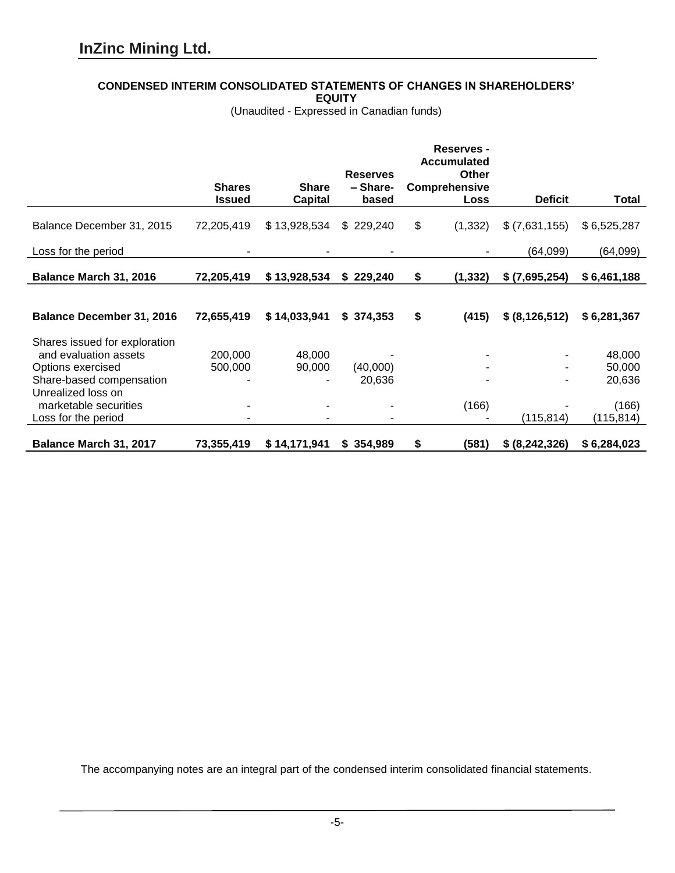### **CONDENSED INTERIM CONSOLIDATED STATEMENTS OF CHANGES IN SHAREHOLDERS'**

**EQUITY**

(Unaudited - Expressed in Canadian funds)

|                                  |               |                              |                 | <b>Reserves -</b>           |                  |              |
|----------------------------------|---------------|------------------------------|-----------------|-----------------------------|------------------|--------------|
|                                  |               |                              | <b>Reserves</b> | <b>Accumulated</b><br>Other |                  |              |
|                                  | <b>Shares</b> | <b>Share</b>                 | - Share-        | <b>Comprehensive</b>        |                  |              |
|                                  | <b>Issued</b> | <b>Capital</b>               | based           | Loss                        | <b>Deficit</b>   | <b>Total</b> |
| Balance December 31, 2015        | 72,205,419    | \$13,928,534                 | \$229,240       | \$<br>(1, 332)              | \$(7,631,155)    | \$6,525,287  |
| Loss for the period              |               |                              |                 |                             | (64,099)         | (64, 099)    |
| Balance March 31, 2016           | 72,205,419    | \$13,928,534                 | \$229,240       | \$<br>(1, 332)              | \$ (7,695,254)   | \$6,461,188  |
|                                  |               |                              |                 |                             |                  |              |
| <b>Balance December 31, 2016</b> | 72,655,419    | \$14,033,941                 | \$374,353       | \$<br>(415)                 | \$ (8, 126, 512) | \$6,281,367  |
| Shares issued for exploration    |               |                              |                 |                             |                  |              |
| and evaluation assets            | 200,000       | 48,000                       |                 |                             |                  | 48,000       |
| Options exercised                | 500,000       | 90,000                       | (40,000)        |                             |                  | 50,000       |
| Share-based compensation         |               |                              | 20,636          |                             |                  | 20,636       |
| Unrealized loss on               |               |                              |                 |                             |                  |              |
| marketable securities            |               | -                            |                 | (166)                       |                  | (166)        |
| Loss for the period              |               | $\qquad \qquad \blacksquare$ |                 |                             | (115, 814)       | (115, 814)   |
| Balance March 31, 2017           | 73,355,419    | \$14,171,941                 | \$354,989       | \$<br>(581)                 | \$ (8, 242, 326) | \$6,284,023  |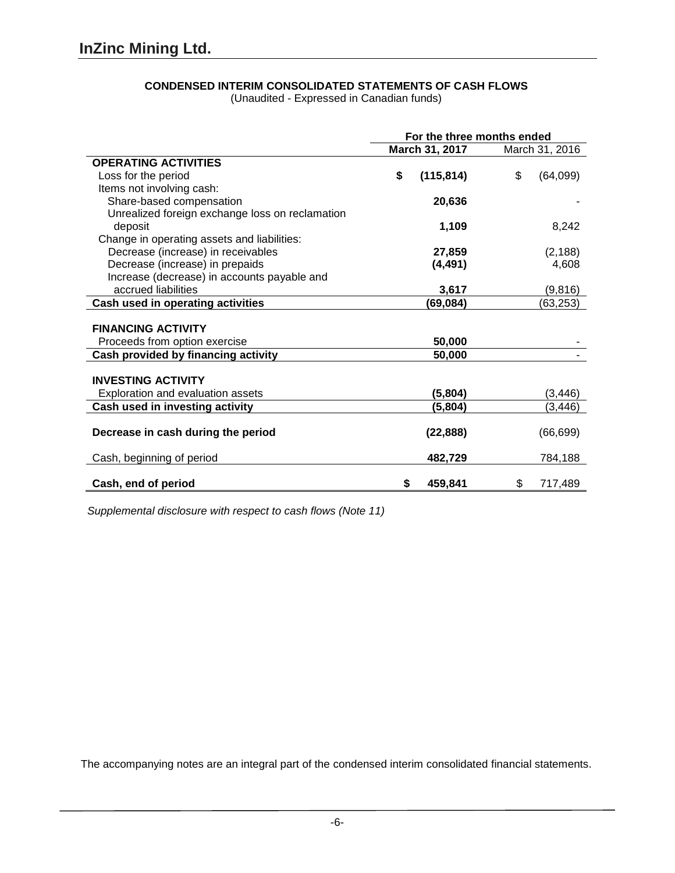# **CONDENSED INTERIM CONSOLIDATED STATEMENTS OF CASH FLOWS**

(Unaudited - Expressed in Canadian funds)

|                                                 | For the three months ended |                |  |
|-------------------------------------------------|----------------------------|----------------|--|
|                                                 | March 31, 2017             | March 31, 2016 |  |
| <b>OPERATING ACTIVITIES</b>                     |                            |                |  |
| Loss for the period                             | \$<br>(115, 814)           | \$<br>(64,099) |  |
| Items not involving cash:                       |                            |                |  |
| Share-based compensation                        | 20,636                     |                |  |
| Unrealized foreign exchange loss on reclamation |                            |                |  |
| deposit                                         | 1,109                      | 8,242          |  |
| Change in operating assets and liabilities:     |                            |                |  |
| Decrease (increase) in receivables              | 27,859                     | (2, 188)       |  |
| Decrease (increase) in prepaids                 | (4, 491)                   | 4,608          |  |
| Increase (decrease) in accounts payable and     |                            |                |  |
| accrued liabilities                             | 3,617                      | (9,816)        |  |
| Cash used in operating activities               | (69, 084)                  | (63, 253)      |  |
|                                                 |                            |                |  |
| <b>FINANCING ACTIVITY</b>                       |                            |                |  |
| Proceeds from option exercise                   | 50,000                     |                |  |
| Cash provided by financing activity             | 50,000                     |                |  |
|                                                 |                            |                |  |
| <b>INVESTING ACTIVITY</b>                       |                            |                |  |
| Exploration and evaluation assets               | (5,804)                    | (3, 446)       |  |
| Cash used in investing activity                 | (5,804)                    | (3, 446)       |  |
|                                                 |                            |                |  |
| Decrease in cash during the period              | (22, 888)                  | (66, 699)      |  |
|                                                 |                            |                |  |
| Cash, beginning of period                       | 482,729                    | 784,188        |  |
|                                                 |                            |                |  |
| Cash, end of period                             | \$<br>459,841              | \$<br>717,489  |  |

*Supplemental disclosure with respect to cash flows (Note 11)*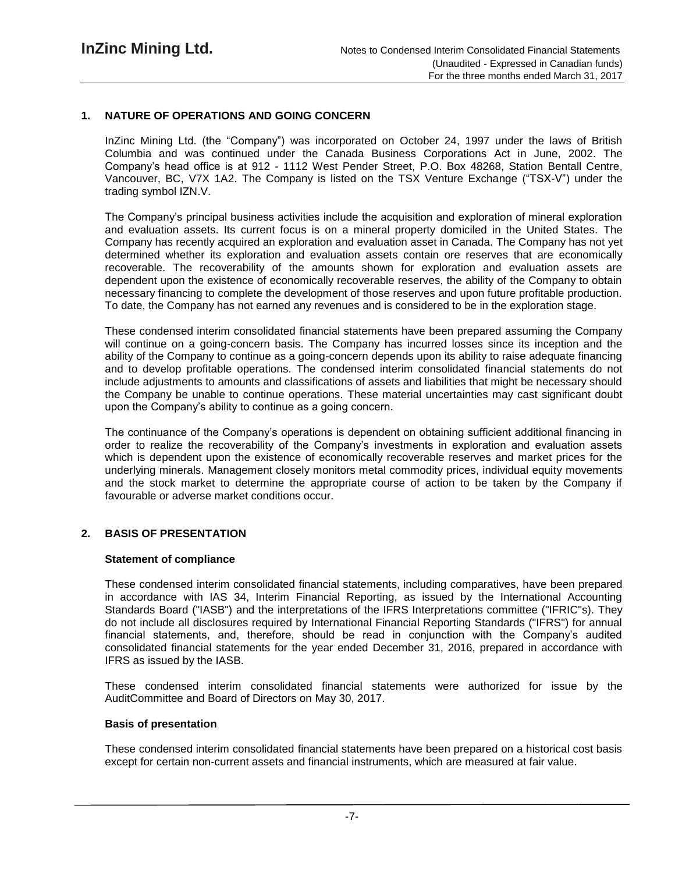# **1. NATURE OF OPERATIONS AND GOING CONCERN**

InZinc Mining Ltd. (the "Company") was incorporated on October 24, 1997 under the laws of British Columbia and was continued under the Canada Business Corporations Act in June, 2002. The Company's head office is at 912 - 1112 West Pender Street, P.O. Box 48268, Station Bentall Centre, Vancouver, BC, V7X 1A2. The Company is listed on the TSX Venture Exchange ("TSX-V") under the trading symbol IZN.V.

The Company's principal business activities include the acquisition and exploration of mineral exploration and evaluation assets. Its current focus is on a mineral property domiciled in the United States. The Company has recently acquired an exploration and evaluation asset in Canada. The Company has not yet determined whether its exploration and evaluation assets contain ore reserves that are economically recoverable. The recoverability of the amounts shown for exploration and evaluation assets are dependent upon the existence of economically recoverable reserves, the ability of the Company to obtain necessary financing to complete the development of those reserves and upon future profitable production. To date, the Company has not earned any revenues and is considered to be in the exploration stage.

These condensed interim consolidated financial statements have been prepared assuming the Company will continue on a going-concern basis. The Company has incurred losses since its inception and the ability of the Company to continue as a going-concern depends upon its ability to raise adequate financing and to develop profitable operations. The condensed interim consolidated financial statements do not include adjustments to amounts and classifications of assets and liabilities that might be necessary should the Company be unable to continue operations. These material uncertainties may cast significant doubt upon the Company's ability to continue as a going concern.

The continuance of the Company's operations is dependent on obtaining sufficient additional financing in order to realize the recoverability of the Company's investments in exploration and evaluation assets which is dependent upon the existence of economically recoverable reserves and market prices for the underlying minerals. Management closely monitors metal commodity prices, individual equity movements and the stock market to determine the appropriate course of action to be taken by the Company if favourable or adverse market conditions occur.

### **2. BASIS OF PRESENTATION**

### **Statement of compliance**

These condensed interim consolidated financial statements, including comparatives, have been prepared in accordance with IAS 34, Interim Financial Reporting, as issued by the International Accounting Standards Board ("IASB") and the interpretations of the IFRS Interpretations committee ("IFRIC"s). They do not include all disclosures required by International Financial Reporting Standards ("IFRS") for annual financial statements, and, therefore, should be read in conjunction with the Company's audited consolidated financial statements for the year ended December 31, 2016, prepared in accordance with IFRS as issued by the IASB.

These condensed interim consolidated financial statements were authorized for issue by the AuditCommittee and Board of Directors on May 30, 2017.

#### **Basis of presentation**

These condensed interim consolidated financial statements have been prepared on a historical cost basis except for certain non-current assets and financial instruments, which are measured at fair value.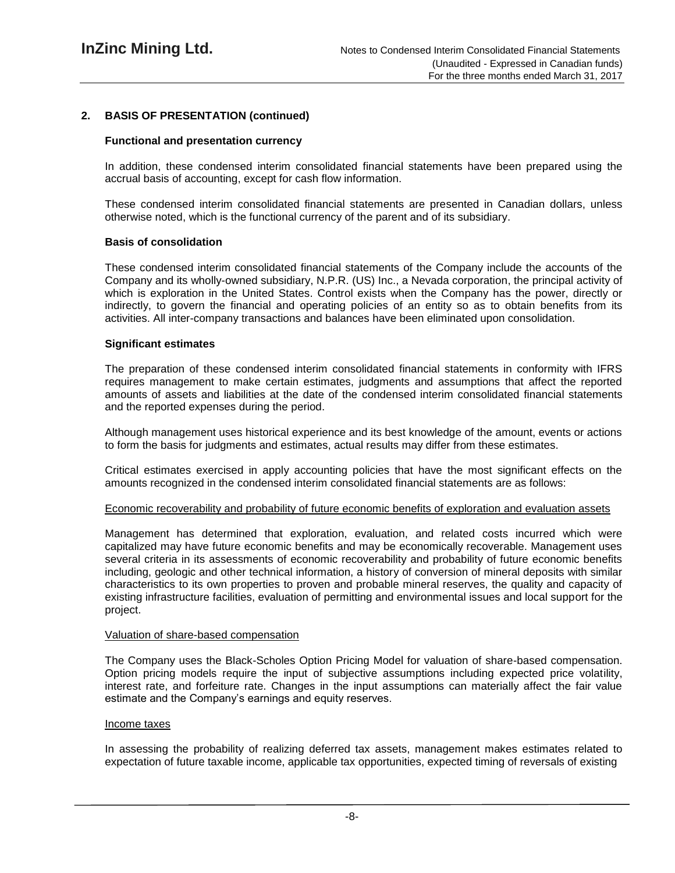### **2. BASIS OF PRESENTATION (continued)**

#### **Functional and presentation currency**

In addition, these condensed interim consolidated financial statements have been prepared using the accrual basis of accounting, except for cash flow information.

These condensed interim consolidated financial statements are presented in Canadian dollars, unless otherwise noted, which is the functional currency of the parent and of its subsidiary.

#### **Basis of consolidation**

These condensed interim consolidated financial statements of the Company include the accounts of the Company and its wholly-owned subsidiary, N.P.R. (US) Inc., a Nevada corporation, the principal activity of which is exploration in the United States. Control exists when the Company has the power, directly or indirectly, to govern the financial and operating policies of an entity so as to obtain benefits from its activities. All inter-company transactions and balances have been eliminated upon consolidation.

#### **Significant estimates**

The preparation of these condensed interim consolidated financial statements in conformity with IFRS requires management to make certain estimates, judgments and assumptions that affect the reported amounts of assets and liabilities at the date of the condensed interim consolidated financial statements and the reported expenses during the period.

Although management uses historical experience and its best knowledge of the amount, events or actions to form the basis for judgments and estimates, actual results may differ from these estimates.

Critical estimates exercised in apply accounting policies that have the most significant effects on the amounts recognized in the condensed interim consolidated financial statements are as follows:

#### Economic recoverability and probability of future economic benefits of exploration and evaluation assets

Management has determined that exploration, evaluation, and related costs incurred which were capitalized may have future economic benefits and may be economically recoverable. Management uses several criteria in its assessments of economic recoverability and probability of future economic benefits including, geologic and other technical information, a history of conversion of mineral deposits with similar characteristics to its own properties to proven and probable mineral reserves, the quality and capacity of existing infrastructure facilities, evaluation of permitting and environmental issues and local support for the project.

#### Valuation of share-based compensation

The Company uses the Black-Scholes Option Pricing Model for valuation of share-based compensation. Option pricing models require the input of subjective assumptions including expected price volatility, interest rate, and forfeiture rate. Changes in the input assumptions can materially affect the fair value estimate and the Company's earnings and equity reserves.

#### Income taxes

In assessing the probability of realizing deferred tax assets, management makes estimates related to expectation of future taxable income, applicable tax opportunities, expected timing of reversals of existing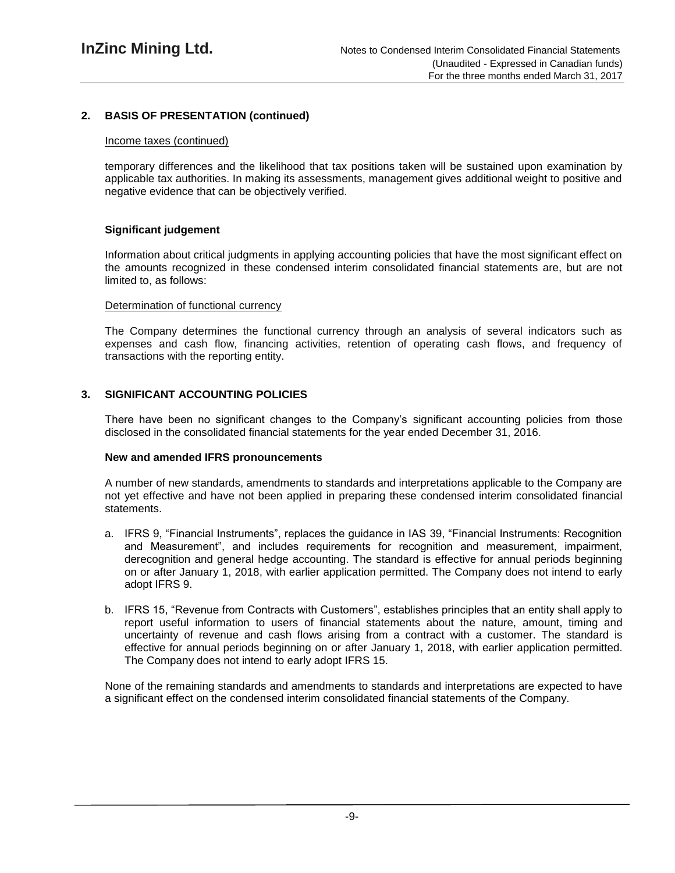### **2. BASIS OF PRESENTATION (continued)**

#### Income taxes (continued)

temporary differences and the likelihood that tax positions taken will be sustained upon examination by applicable tax authorities. In making its assessments, management gives additional weight to positive and negative evidence that can be objectively verified.

### **Significant judgement**

Information about critical judgments in applying accounting policies that have the most significant effect on the amounts recognized in these condensed interim consolidated financial statements are, but are not limited to, as follows:

#### Determination of functional currency

The Company determines the functional currency through an analysis of several indicators such as expenses and cash flow, financing activities, retention of operating cash flows, and frequency of transactions with the reporting entity.

### **3. SIGNIFICANT ACCOUNTING POLICIES**

There have been no significant changes to the Company's significant accounting policies from those disclosed in the consolidated financial statements for the year ended December 31, 2016.

### **New and amended IFRS pronouncements**

A number of new standards, amendments to standards and interpretations applicable to the Company are not yet effective and have not been applied in preparing these condensed interim consolidated financial statements.

- a. IFRS 9, "Financial Instruments", replaces the guidance in IAS 39, "Financial Instruments: Recognition and Measurement", and includes requirements for recognition and measurement, impairment, derecognition and general hedge accounting. The standard is effective for annual periods beginning on or after January 1, 2018, with earlier application permitted. The Company does not intend to early adopt IFRS 9.
- b. IFRS 15, "Revenue from Contracts with Customers", establishes principles that an entity shall apply to report useful information to users of financial statements about the nature, amount, timing and uncertainty of revenue and cash flows arising from a contract with a customer. The standard is effective for annual periods beginning on or after January 1, 2018, with earlier application permitted. The Company does not intend to early adopt IFRS 15.

None of the remaining standards and amendments to standards and interpretations are expected to have a significant effect on the condensed interim consolidated financial statements of the Company.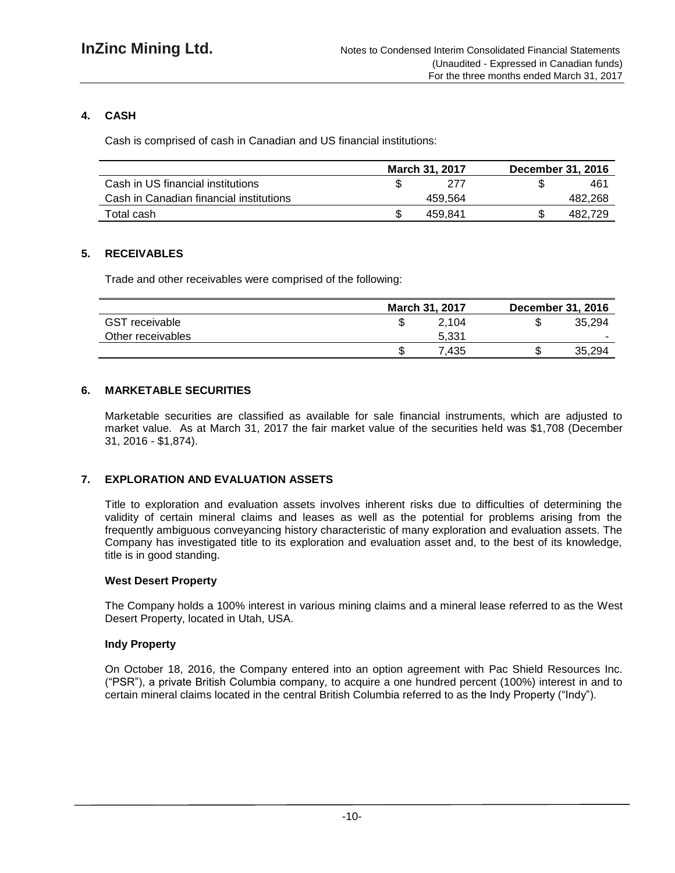# **4. CASH**

Cash is comprised of cash in Canadian and US financial institutions:

|                                         | <b>March 31, 2017</b> | December 31, 2016 |
|-----------------------------------------|-----------------------|-------------------|
| Cash in US financial institutions       | 277                   | 461               |
| Cash in Canadian financial institutions | 459.564               | 482,268           |
| Total cash                              | 459.841               | 482.729           |

# **5. RECEIVABLES**

Trade and other receivables were comprised of the following:

|                       |    | March 31, 2017 | <b>December 31, 2016</b> |
|-----------------------|----|----------------|--------------------------|
| <b>GST</b> receivable |    | 2.104          | 35.294                   |
| Other receivables     |    | 5.331          |                          |
|                       | S. | .435           | 35.294                   |

# **6. MARKETABLE SECURITIES**

Marketable securities are classified as available for sale financial instruments, which are adjusted to market value. As at March 31, 2017 the fair market value of the securities held was \$1,708 (December 31, 2016 - \$1,874).

# **7. EXPLORATION AND EVALUATION ASSETS**

Title to exploration and evaluation assets involves inherent risks due to difficulties of determining the validity of certain mineral claims and leases as well as the potential for problems arising from the frequently ambiguous conveyancing history characteristic of many exploration and evaluation assets. The Company has investigated title to its exploration and evaluation asset and, to the best of its knowledge, title is in good standing.

### **West Desert Property**

The Company holds a 100% interest in various mining claims and a mineral lease referred to as the West Desert Property, located in Utah, USA.

### **Indy Property**

On October 18, 2016, the Company entered into an option agreement with Pac Shield Resources Inc. ("PSR"), a private British Columbia company, to acquire a one hundred percent (100%) interest in and to certain mineral claims located in the central British Columbia referred to as the Indy Property ("Indy").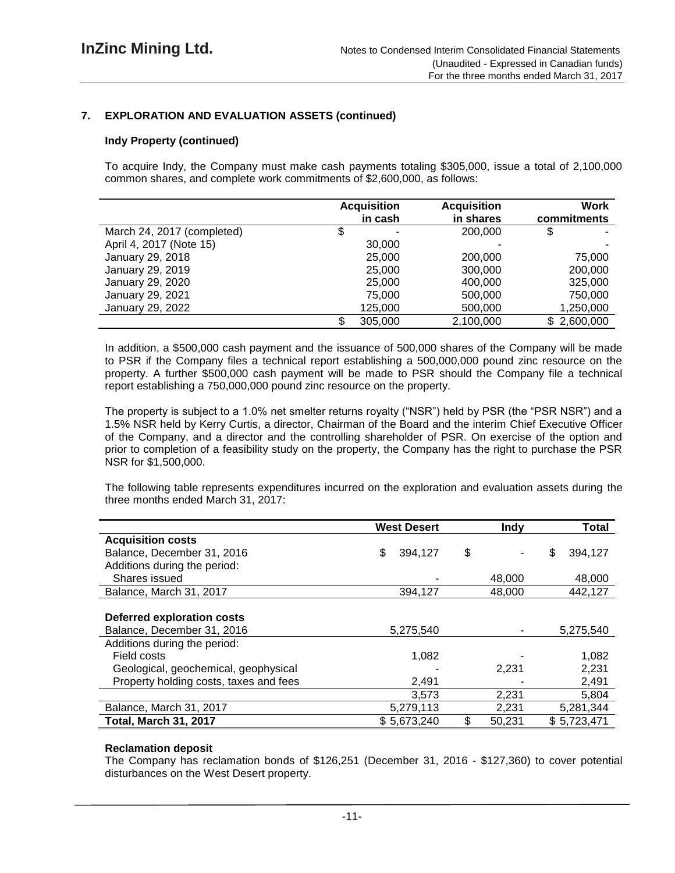### **7. EXPLORATION AND EVALUATION ASSETS (continued)**

### **Indy Property (continued)**

To acquire Indy, the Company must make cash payments totaling \$305,000, issue a total of 2,100,000 common shares, and complete work commitments of \$2,600,000, as follows:

|                            | <b>Acquisition</b> | <b>Acquisition</b> | Work        |
|----------------------------|--------------------|--------------------|-------------|
|                            | in cash            | in shares          | commitments |
| March 24, 2017 (completed) | \$                 | 200,000            |             |
| April 4, 2017 (Note 15)    | 30,000             |                    |             |
| January 29, 2018           | 25,000             | 200,000            | 75,000      |
| January 29, 2019           | 25,000             | 300,000            | 200,000     |
| January 29, 2020           | 25,000             | 400,000            | 325,000     |
| January 29, 2021           | 75,000             | 500,000            | 750,000     |
| January 29, 2022           | 125,000            | 500,000            | 1,250,000   |
|                            | 305,000            | 2,100,000          | \$2,600,000 |

In addition, a \$500,000 cash payment and the issuance of 500,000 shares of the Company will be made to PSR if the Company files a technical report establishing a 500,000,000 pound zinc resource on the property. A further \$500,000 cash payment will be made to PSR should the Company file a technical report establishing a 750,000,000 pound zinc resource on the property.

The property is subject to a 1.0% net smelter returns royalty ("NSR") held by PSR (the "PSR NSR") and a 1.5% NSR held by Kerry Curtis, a director, Chairman of the Board and the interim Chief Executive Officer of the Company, and a director and the controlling shareholder of PSR. On exercise of the option and prior to completion of a feasibility study on the property, the Company has the right to purchase the PSR NSR for \$1,500,000.

The following table represents expenditures incurred on the exploration and evaluation assets during the three months ended March 31, 2017:

|                                        | <b>West Desert</b> | <b>Indy</b>  | Total         |
|----------------------------------------|--------------------|--------------|---------------|
| <b>Acquisition costs</b>               |                    |              |               |
| Balance, December 31, 2016             | \$<br>394,127      | \$           | \$<br>394.127 |
| Additions during the period:           |                    |              |               |
| Shares issued                          |                    | 48.000       | 48,000        |
| Balance, March 31, 2017                | 394,127            | 48.000       | 442,127       |
|                                        |                    |              |               |
| <b>Deferred exploration costs</b>      |                    |              |               |
| Balance, December 31, 2016             | 5,275,540          |              | 5,275,540     |
| Additions during the period:           |                    |              |               |
| Field costs                            | 1,082              |              | 1,082         |
| Geological, geochemical, geophysical   |                    | 2,231        | 2,231         |
| Property holding costs, taxes and fees | 2,491              |              | 2,491         |
|                                        | 3.573              | 2,231        | 5,804         |
| Balance, March 31, 2017                | 5,279,113          | 2,231        | 5,281,344     |
| <b>Total, March 31, 2017</b>           | \$5,673,240        | \$<br>50,231 | \$5,723,471   |

#### **Reclamation deposit**

The Company has reclamation bonds of \$126,251 (December 31, 2016 - \$127,360) to cover potential disturbances on the West Desert property.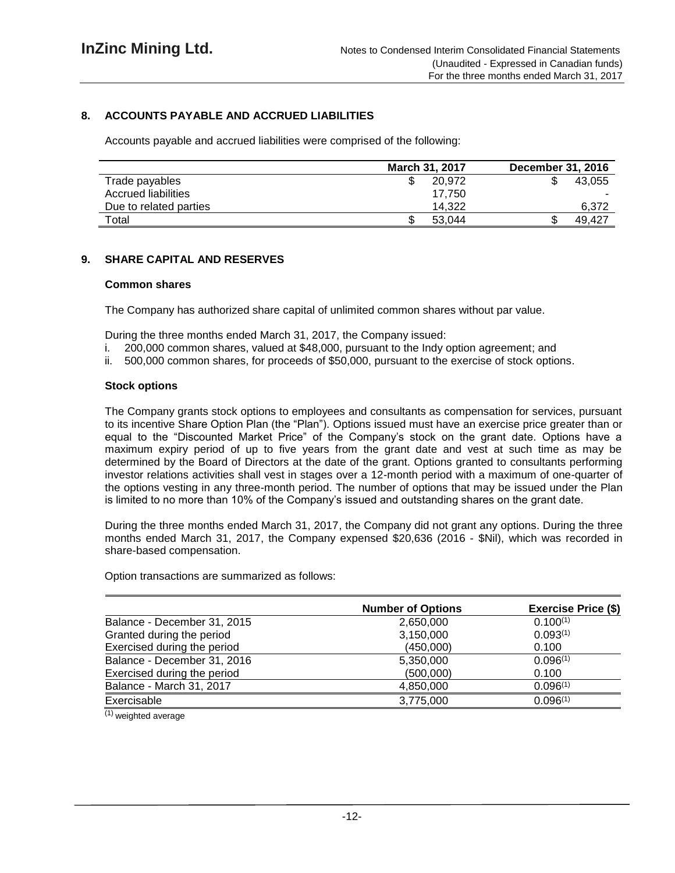### **8. ACCOUNTS PAYABLE AND ACCRUED LIABILITIES**

Accounts payable and accrued liabilities were comprised of the following:

|                        | March 31, 2017 | December 31, 2016 |
|------------------------|----------------|-------------------|
| Trade payables         | 20.972         | 43.055            |
| Accrued liabilities    | 17.750         |                   |
| Due to related parties | 14.322         | 6.372             |
| Total                  | 53.044         | 49.427            |

### **9. SHARE CAPITAL AND RESERVES**

#### **Common shares**

The Company has authorized share capital of unlimited common shares without par value.

During the three months ended March 31, 2017, the Company issued:

- i. 200,000 common shares, valued at \$48,000, pursuant to the Indy option agreement; and
- ii. 500,000 common shares, for proceeds of \$50,000, pursuant to the exercise of stock options.

#### **Stock options**

The Company grants stock options to employees and consultants as compensation for services, pursuant to its incentive Share Option Plan (the "Plan"). Options issued must have an exercise price greater than or equal to the "Discounted Market Price" of the Company's stock on the grant date. Options have a maximum expiry period of up to five years from the grant date and vest at such time as may be determined by the Board of Directors at the date of the grant. Options granted to consultants performing investor relations activities shall vest in stages over a 12-month period with a maximum of one-quarter of the options vesting in any three-month period. The number of options that may be issued under the Plan is limited to no more than 10% of the Company's issued and outstanding shares on the grant date.

During the three months ended March 31, 2017, the Company did not grant any options. During the three months ended March 31, 2017, the Company expensed \$20,636 (2016 - \$Nil), which was recorded in share-based compensation.

Option transactions are summarized as follows:

|                             | <b>Number of Options</b> | <b>Exercise Price (\$)</b> |
|-----------------------------|--------------------------|----------------------------|
| Balance - December 31, 2015 | 2,650,000                | $0.100^{(1)}$              |
| Granted during the period   | 3,150,000                | 0.093(1)                   |
| Exercised during the period | (450,000)                | 0.100                      |
| Balance - December 31, 2016 | 5,350,000                | 0.096(1)                   |
| Exercised during the period | (500,000)                | 0.100                      |
| Balance - March 31, 2017    | 4,850,000                | 0.096(1)                   |
| Exercisable                 | 3,775,000                | 0.096(1)                   |

 $(1)$  weighted average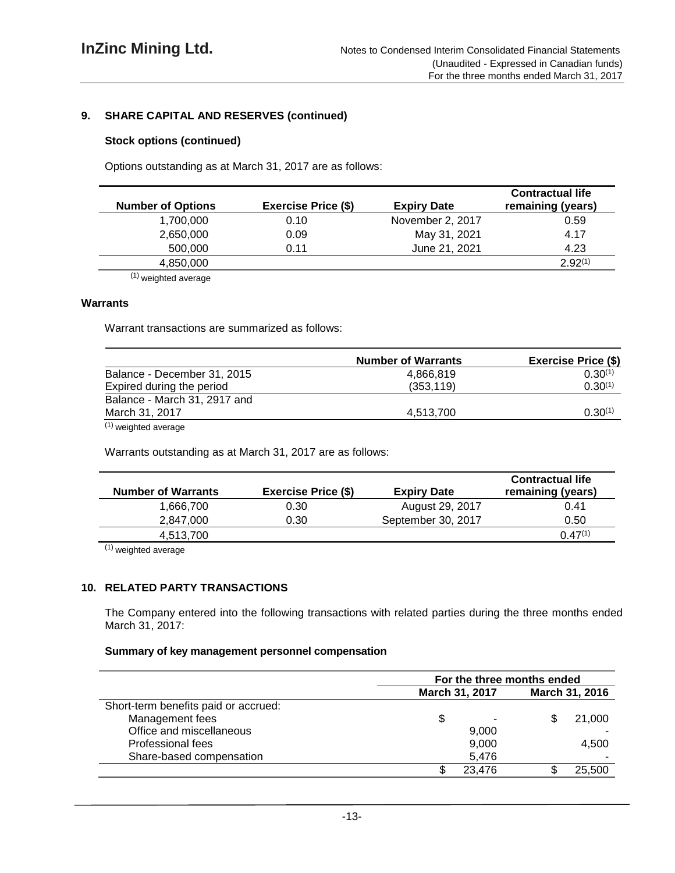### **9. SHARE CAPITAL AND RESERVES (continued)**

### **Stock options (continued)**

Options outstanding as at March 31, 2017 are as follows:

| <b>Number of Options</b> | <b>Exercise Price (\$)</b> | <b>Expiry Date</b> | <b>Contractual life</b><br>remaining (years) |
|--------------------------|----------------------------|--------------------|----------------------------------------------|
| 1,700,000                | 0.10                       | November 2, 2017   | 0.59                                         |
| 2,650,000                | 0.09                       | May 31, 2021       | 4.17                                         |
| 500,000                  | 0.11                       | June 21, 2021      | 4.23                                         |
| 4,850,000                |                            |                    | $2.92^{(1)}$                                 |
| $\sim$ $\sim$ $\sim$     |                            |                    |                                              |

(1) weighted average

#### **Warrants**

Warrant transactions are summarized as follows:

|                              | <b>Number of Warrants</b> | <b>Exercise Price (\$)</b> |
|------------------------------|---------------------------|----------------------------|
| Balance - December 31, 2015  | 4.866.819                 | $0.30^{(1)}$               |
| Expired during the period    | (353, 119)                | $0.30^{(1)}$               |
| Balance - March 31, 2917 and |                           |                            |
| March 31, 2017               | 4,513,700                 | $0.30^{(1)}$               |
| $(1)$ weighted average       |                           |                            |

weighted average

Warrants outstanding as at March 31, 2017 are as follows:

| <b>Number of Warrants</b> | <b>Exercise Price (\$)</b> | <b>Expiry Date</b> | <b>Contractual life</b><br>remaining (years) |
|---------------------------|----------------------------|--------------------|----------------------------------------------|
| 1,666,700                 | 0.30                       | August 29, 2017    | 0.41                                         |
| 2.847.000                 | 0.30                       | September 30, 2017 | 0.50                                         |
| 4,513,700                 |                            |                    | $0.47^{(1)}$                                 |

(1) weighted average

# **10. RELATED PARTY TRANSACTIONS**

The Company entered into the following transactions with related parties during the three months ended March 31, 2017:

#### **Summary of key management personnel compensation**

|                                      | For the three months ended |                |  |        |  |
|--------------------------------------|----------------------------|----------------|--|--------|--|
|                                      | March 31, 2017             | March 31, 2016 |  |        |  |
| Short-term benefits paid or accrued: |                            |                |  |        |  |
| Management fees                      | \$                         |                |  | 21,000 |  |
| Office and miscellaneous             |                            | 9,000          |  |        |  |
| Professional fees                    | 9,000                      |                |  | 4,500  |  |
| Share-based compensation             |                            | 5,476          |  |        |  |
|                                      |                            | 23,476         |  | 25,500 |  |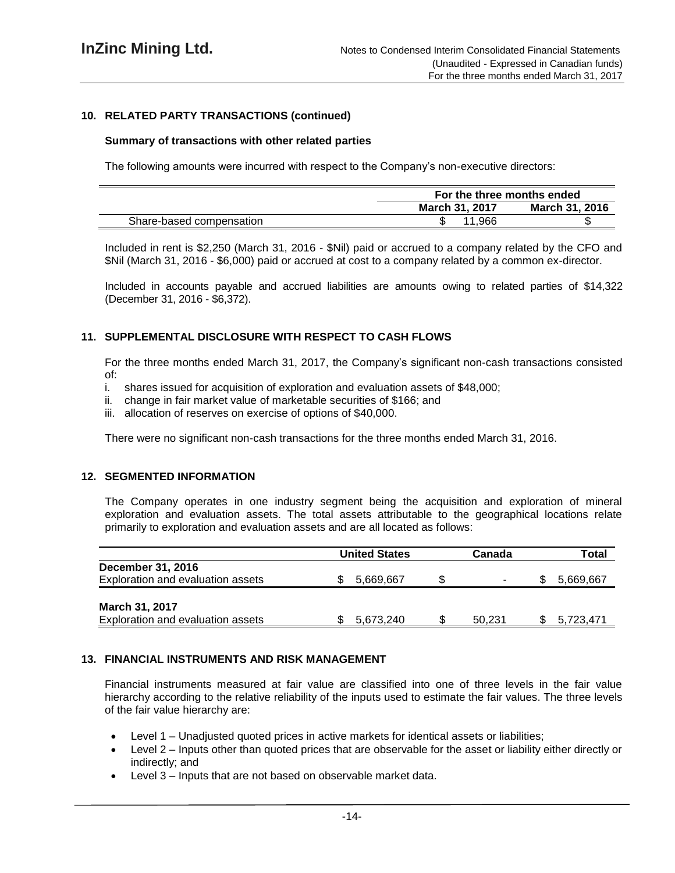### **10. RELATED PARTY TRANSACTIONS (continued)**

#### **Summary of transactions with other related parties**

The following amounts were incurred with respect to the Company's non-executive directors:

|                          |                       | For the three months ended |  |  |  |
|--------------------------|-----------------------|----------------------------|--|--|--|
|                          | <b>March 31, 2017</b> | <b>March 31, 2016</b>      |  |  |  |
| Share-based compensation | .966                  |                            |  |  |  |

Included in rent is \$2,250 (March 31, 2016 - \$Nil) paid or accrued to a company related by the CFO and \$Nil (March 31, 2016 - \$6,000) paid or accrued at cost to a company related by a common ex-director.

Included in accounts payable and accrued liabilities are amounts owing to related parties of \$14,322 (December 31, 2016 - \$6,372).

### **11. SUPPLEMENTAL DISCLOSURE WITH RESPECT TO CASH FLOWS**

For the three months ended March 31, 2017, the Company's significant non-cash transactions consisted of:

- i. shares issued for acquisition of exploration and evaluation assets of \$48,000;
- ii. change in fair market value of marketable securities of \$166; and
- iii. allocation of reserves on exercise of options of \$40,000.

There were no significant non-cash transactions for the three months ended March 31, 2016.

#### **12. SEGMENTED INFORMATION**

The Company operates in one industry segment being the acquisition and exploration of mineral exploration and evaluation assets. The total assets attributable to the geographical locations relate primarily to exploration and evaluation assets and are all located as follows:

|                                   | <b>United States</b> | Canada                   | Total     |
|-----------------------------------|----------------------|--------------------------|-----------|
| December 31, 2016                 |                      |                          |           |
| Exploration and evaluation assets | 5,669,667            | $\overline{\phantom{a}}$ | 5,669,667 |
|                                   |                      |                          |           |
| <b>March 31, 2017</b>             |                      |                          |           |
| Exploration and evaluation assets | 5.673.240            | 50.231                   | 5.723.471 |

### **13. FINANCIAL INSTRUMENTS AND RISK MANAGEMENT**

Financial instruments measured at fair value are classified into one of three levels in the fair value hierarchy according to the relative reliability of the inputs used to estimate the fair values. The three levels of the fair value hierarchy are:

- Level 1 Unadjusted quoted prices in active markets for identical assets or liabilities;
- Level 2 Inputs other than quoted prices that are observable for the asset or liability either directly or indirectly; and
- Level 3 Inputs that are not based on observable market data.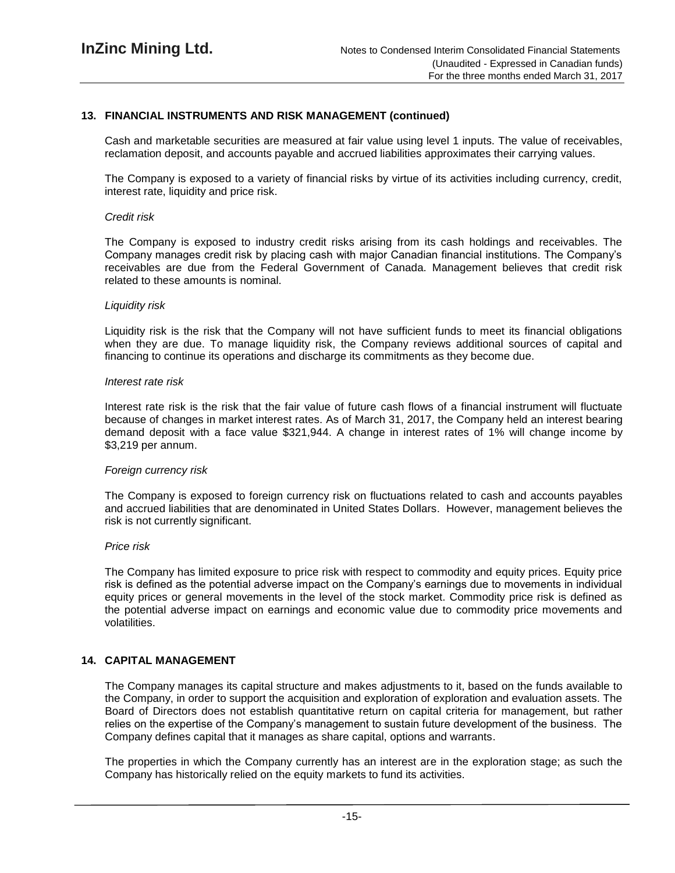### **13. FINANCIAL INSTRUMENTS AND RISK MANAGEMENT (continued)**

Cash and marketable securities are measured at fair value using level 1 inputs. The value of receivables, reclamation deposit, and accounts payable and accrued liabilities approximates their carrying values.

The Company is exposed to a variety of financial risks by virtue of its activities including currency, credit, interest rate, liquidity and price risk.

#### *Credit risk*

The Company is exposed to industry credit risks arising from its cash holdings and receivables. The Company manages credit risk by placing cash with major Canadian financial institutions. The Company's receivables are due from the Federal Government of Canada. Management believes that credit risk related to these amounts is nominal.

#### *Liquidity risk*

Liquidity risk is the risk that the Company will not have sufficient funds to meet its financial obligations when they are due. To manage liquidity risk, the Company reviews additional sources of capital and financing to continue its operations and discharge its commitments as they become due.

#### *Interest rate risk*

Interest rate risk is the risk that the fair value of future cash flows of a financial instrument will fluctuate because of changes in market interest rates. As of March 31, 2017, the Company held an interest bearing demand deposit with a face value \$321,944. A change in interest rates of 1% will change income by \$3,219 per annum.

#### *Foreign currency risk*

The Company is exposed to foreign currency risk on fluctuations related to cash and accounts payables and accrued liabilities that are denominated in United States Dollars. However, management believes the risk is not currently significant.

#### *Price risk*

The Company has limited exposure to price risk with respect to commodity and equity prices. Equity price risk is defined as the potential adverse impact on the Company's earnings due to movements in individual equity prices or general movements in the level of the stock market. Commodity price risk is defined as the potential adverse impact on earnings and economic value due to commodity price movements and volatilities.

### **14. CAPITAL MANAGEMENT**

The Company manages its capital structure and makes adjustments to it, based on the funds available to the Company, in order to support the acquisition and exploration of exploration and evaluation assets. The Board of Directors does not establish quantitative return on capital criteria for management, but rather relies on the expertise of the Company's management to sustain future development of the business. The Company defines capital that it manages as share capital, options and warrants.

The properties in which the Company currently has an interest are in the exploration stage; as such the Company has historically relied on the equity markets to fund its activities.